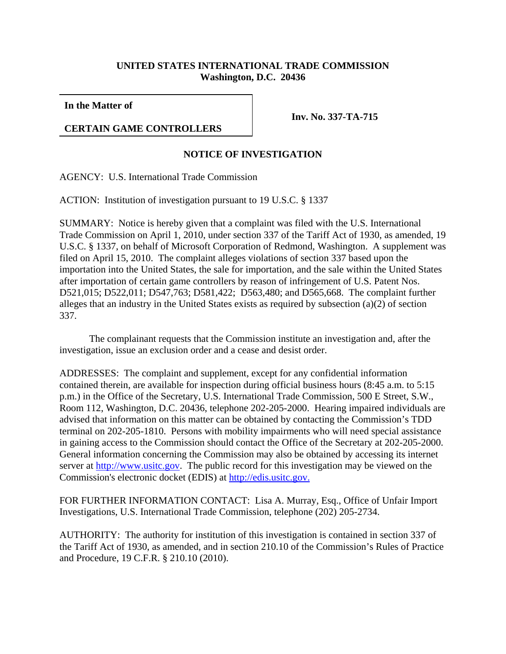## **UNITED STATES INTERNATIONAL TRADE COMMISSION Washington, D.C. 20436**

**In the Matter of**

## **CERTAIN GAME CONTROLLERS**

**Inv. No. 337-TA-715**

## **NOTICE OF INVESTIGATION**

AGENCY: U.S. International Trade Commission

ACTION: Institution of investigation pursuant to 19 U.S.C. § 1337

SUMMARY: Notice is hereby given that a complaint was filed with the U.S. International Trade Commission on April 1, 2010, under section 337 of the Tariff Act of 1930, as amended, 19 U.S.C. § 1337, on behalf of Microsoft Corporation of Redmond, Washington. A supplement was filed on April 15, 2010. The complaint alleges violations of section 337 based upon the importation into the United States, the sale for importation, and the sale within the United States after importation of certain game controllers by reason of infringement of U.S. Patent Nos. D521,015; D522,011; D547,763; D581,422; D563,480; and D565,668. The complaint further alleges that an industry in the United States exists as required by subsection (a)(2) of section 337.

The complainant requests that the Commission institute an investigation and, after the investigation, issue an exclusion order and a cease and desist order.

ADDRESSES: The complaint and supplement, except for any confidential information contained therein, are available for inspection during official business hours (8:45 a.m. to 5:15 p.m.) in the Office of the Secretary, U.S. International Trade Commission, 500 E Street, S.W., Room 112, Washington, D.C. 20436, telephone 202-205-2000. Hearing impaired individuals are advised that information on this matter can be obtained by contacting the Commission's TDD terminal on 202-205-1810. Persons with mobility impairments who will need special assistance in gaining access to the Commission should contact the Office of the Secretary at 202-205-2000. General information concerning the Commission may also be obtained by accessing its internet server at http://www.usitc.gov. The public record for this investigation may be viewed on the Commission's electronic docket (EDIS) at http://edis.usitc.gov.

FOR FURTHER INFORMATION CONTACT: Lisa A. Murray, Esq., Office of Unfair Import Investigations, U.S. International Trade Commission, telephone (202) 205-2734.

AUTHORITY: The authority for institution of this investigation is contained in section 337 of the Tariff Act of 1930, as amended, and in section 210.10 of the Commission's Rules of Practice and Procedure, 19 C.F.R. § 210.10 (2010).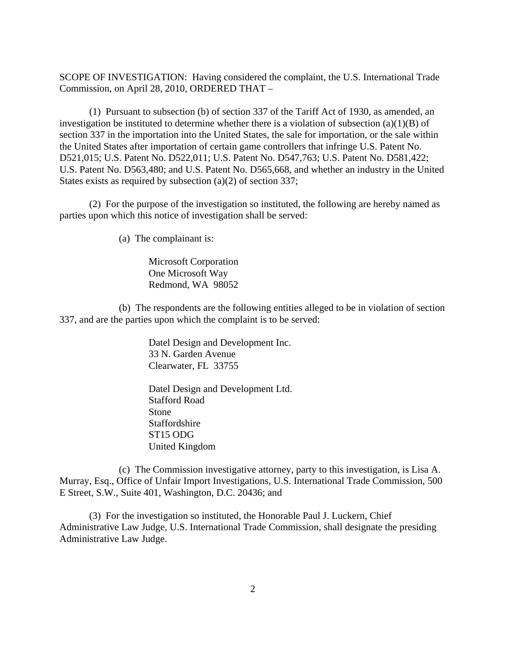SCOPE OF INVESTIGATION: Having considered the complaint, the U.S. International Trade Commission, on April 28, 2010, ORDERED THAT –

(1) Pursuant to subsection (b) of section 337 of the Tariff Act of 1930, as amended, an investigation be instituted to determine whether there is a violation of subsection (a)(1)(B) of section 337 in the importation into the United States, the sale for importation, or the sale within the United States after importation of certain game controllers that infringe U.S. Patent No. D521,015; U.S. Patent No. D522,011; U.S. Patent No. D547,763; U.S. Patent No. D581,422; U.S. Patent No. D563,480; and U.S. Patent No. D565,668, and whether an industry in the United States exists as required by subsection (a)(2) of section 337;

(2) For the purpose of the investigation so instituted, the following are hereby named as parties upon which this notice of investigation shall be served:

(a) The complainant is:

Microsoft Corporation One Microsoft Way Redmond, WA 98052

(b) The respondents are the following entities alleged to be in violation of section 337, and are the parties upon which the complaint is to be served:

> Datel Design and Development Inc. 33 N. Garden Avenue Clearwater, FL 33755

> Datel Design and Development Ltd. Stafford Road Stone Staffordshire ST15 ODG United Kingdom

(c) The Commission investigative attorney, party to this investigation, is Lisa A. Murray, Esq., Office of Unfair Import Investigations, U.S. International Trade Commission, 500 E Street, S.W., Suite 401, Washington, D.C. 20436; and

(3) For the investigation so instituted, the Honorable Paul J. Luckern, Chief Administrative Law Judge, U.S. International Trade Commission, shall designate the presiding Administrative Law Judge.